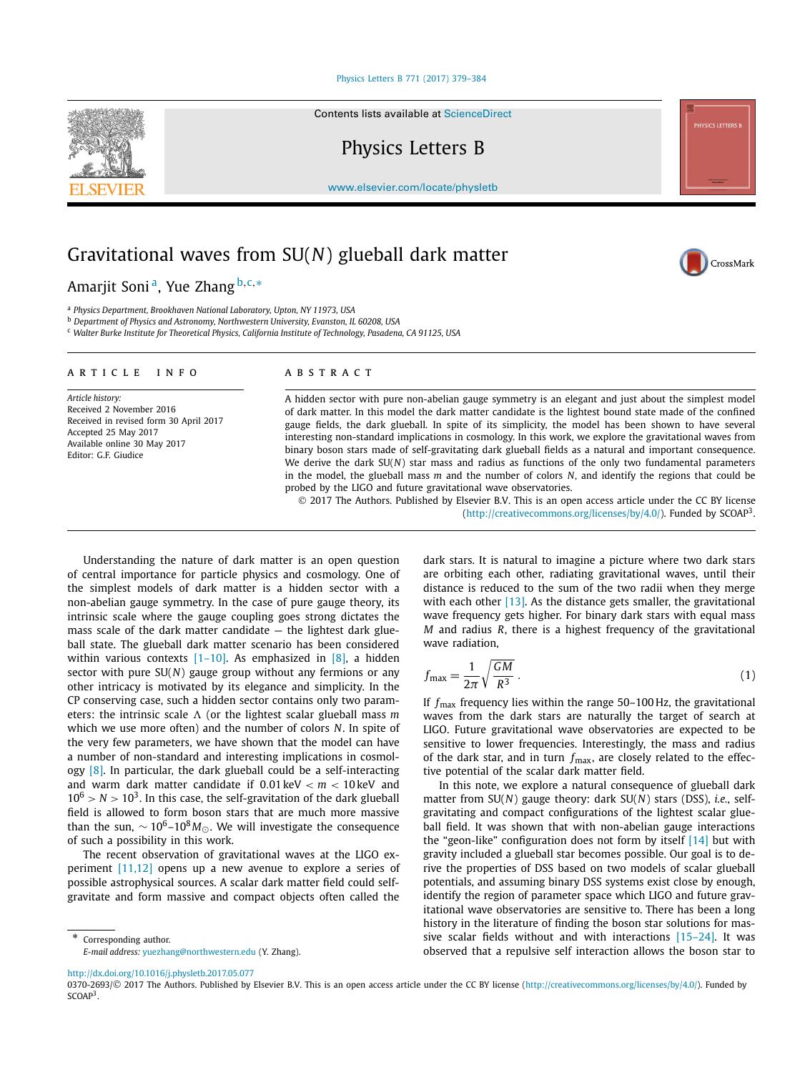#### [Physics Letters B 771 \(2017\) 379–384](http://dx.doi.org/10.1016/j.physletb.2017.05.077)

Contents lists available at [ScienceDirect](http://www.ScienceDirect.com/)

Physics Letters B

[www.elsevier.com/locate/physletb](http://www.elsevier.com/locate/physletb)

# Gravitational waves from SU(*N*) glueball dark matter

Amarjit Soni a, Yue Zhang <sup>b</sup>*,*c*,*<sup>∗</sup>

<sup>a</sup> *Physics Department, Brookhaven National Laboratory, Upton, NY 11973, USA*

<sup>b</sup> *Department of Physics and Astronomy, Northwestern University, Evanston, IL 60208, USA*

<sup>c</sup> *Walter Burke Institute for Theoretical Physics, California Institute of Technology, Pasadena, CA 91125, USA*

#### A R T I C L E I N F O A B S T R A C T

*Article history:* Received 2 November 2016 Received in revised form 30 April 2017 Accepted 25 May 2017 Available online 30 May 2017 Editor: G.F. Giudice

A hidden sector with pure non-abelian gauge symmetry is an elegant and just about the simplest model of dark matter. In this model the dark matter candidate is the lightest bound state made of the confined gauge fields, the dark glueball. In spite of its simplicity, the model has been shown to have several interesting non-standard implications in cosmology. In this work, we explore the gravitational waves from binary boson stars made of self-gravitating dark glueball fields as a natural and important consequence. We derive the dark SU(N) star mass and radius as functions of the only two fundamental parameters in the model, the glueball mass *m* and the number of colors *N*, and identify the regions that could be probed by the LIGO and future gravitational wave observatories.

© 2017 The Authors. Published by Elsevier B.V. This is an open access article under the CC BY license [\(http://creativecommons.org/licenses/by/4.0/\)](http://creativecommons.org/licenses/by/4.0/). Funded by SCOAP3.

Understanding the nature of dark matter is an open question of central importance for particle physics and cosmology. One of the simplest models of dark matter is a hidden sector with a non-abelian gauge symmetry. In the case of pure gauge theory, its intrinsic scale where the gauge coupling goes strong dictates the mass scale of the dark matter candidate  $-$  the lightest dark glueball state. The glueball dark matter scenario has been considered within various contexts  $[1-10]$ . As emphasized in  $[8]$ , a hidden sector with pure SU(*N*) gauge group without any fermions or any other intricacy is motivated by its elegance and simplicity. In the CP conserving case, such a hidden sector contains only two parameters: the intrinsic scale  $\Lambda$  (or the lightest scalar glueball mass *m* which we use more often) and the number of colors *N*. In spite of the very few parameters, we have shown that the model can have a number of non-standard and interesting implications in cosmology  $[8]$ . In particular, the dark glueball could be a self-interacting and warm dark matter candidate if 0*.*01 keV *< m <* 10 keV and  $10^6$  >  $N$  >  $10^3$ . In this case, the self-gravitation of the dark glueball field is allowed to form boson stars that are much more massive than the sun,  $\sim 10^6$ – $10^8 M_{\odot}$ . We will investigate the consequence of such a possibility in this work.

The recent observation of gravitational waves at the LIGO experiment [\[11,12\]](#page-5-0) opens up a new avenue to explore a series of possible astrophysical sources. A scalar dark matter field could selfgravitate and form massive and compact objects often called the

Corresponding author. *E-mail address:* [yuezhang@northwestern.edu](mailto:yuezhang@northwestern.edu) (Y. Zhang). dark stars. It is natural to imagine a picture where two dark stars are orbiting each other, radiating gravitational waves, until their distance is reduced to the sum of the two radii when they merge with each other [\[13\].](#page-5-0) As the distance gets smaller, the gravitational wave frequency gets higher. For binary dark stars with equal mass *M* and radius *R*, there is a highest frequency of the gravitational wave radiation,

$$
f_{\text{max}} = \frac{1}{2\pi} \sqrt{\frac{GM}{R^3}} \,. \tag{1}
$$

If  $f_{\text{max}}$  frequency lies within the range 50–100 Hz, the gravitational waves from the dark stars are naturally the target of search at LIGO. Future gravitational wave observatories are expected to be sensitive to lower frequencies. Interestingly, the mass and radius of the dark star, and in turn  $f_{\text{max}}$ , are closely related to the effective potential of the scalar dark matter field.

In this note, we explore a natural consequence of glueball dark matter from SU(*N*) gauge theory: dark SU(*N*) stars (DSS), *i.e.*, selfgravitating and compact configurations of the lightest scalar glueball field. It was shown that with non-abelian gauge interactions the "geon-like" configuration does not form by itself [\[14\]](#page-5-0) but with gravity included a glueball star becomes possible. Our goal is to derive the properties of DSS based on two models of scalar glueball potentials, and assuming binary DSS systems exist close by enough, identify the region of parameter space which LIGO and future gravitational wave observatories are sensitive to. There has been a long history in the literature of finding the boson star solutions for massive scalar fields without and with interactions [\[15–24\].](#page-5-0) It was observed that a repulsive self interaction allows the boson star to

<http://dx.doi.org/10.1016/j.physletb.2017.05.077>

<span id="page-0-0"></span>



<sup>0370-2693/© 2017</sup> The Authors. Published by Elsevier B.V. This is an open access article under the CC BY license [\(http://creativecommons.org/licenses/by/4.0/\)](http://creativecommons.org/licenses/by/4.0/). Funded by SCOAP<sup>3</sup>.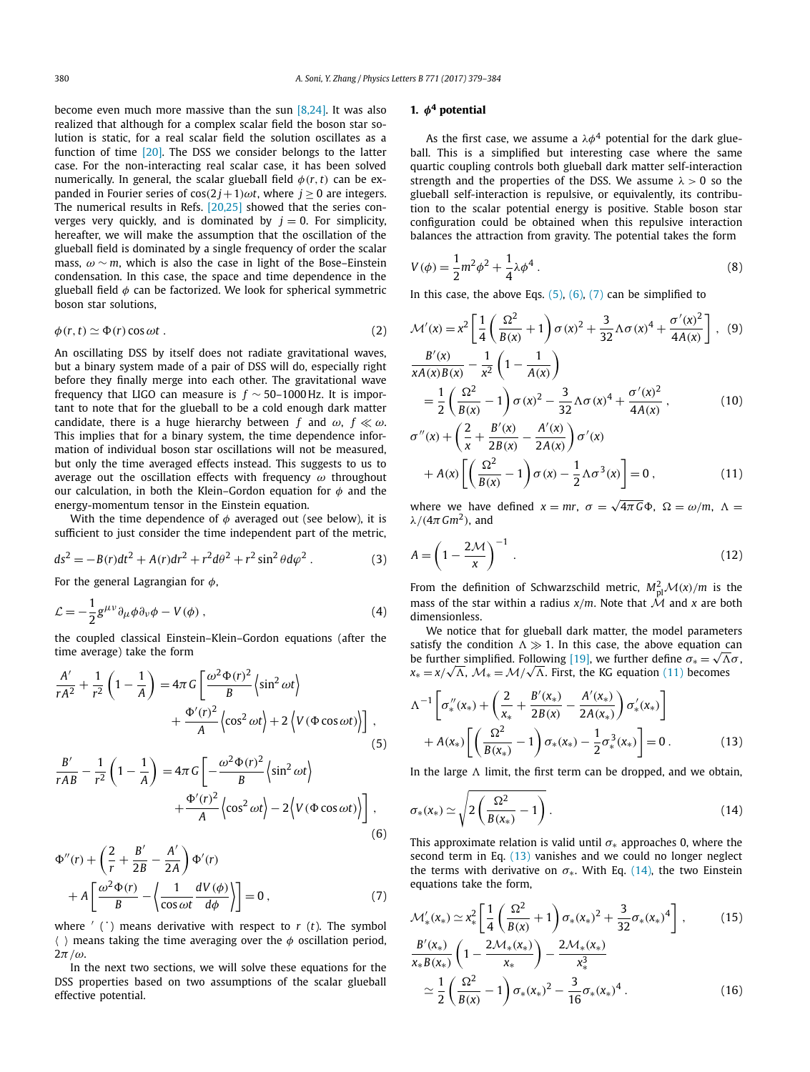<span id="page-1-0"></span>become even much more massive than the sun [\[8,24\].](#page-5-0) It was also realized that although for a complex scalar field the boson star solution is static, for a real scalar field the solution oscillates as a function of time [\[20\].](#page-5-0) The DSS we consider belongs to the latter case. For the non-interacting real scalar case, it has been solved numerically. In general, the scalar glueball field  $\phi(r, t)$  can be expanded in Fourier series of  $cos(2 i + 1) \omega t$ , where  $i > 0$  are integers. The numerical results in Refs. [\[20,25\]](#page-5-0) showed that the series converges very quickly, and is dominated by  $j = 0$ . For simplicity, hereafter, we will make the assumption that the oscillation of the glueball field is dominated by a single frequency of order the scalar mass,  $\omega \sim m$ , which is also the case in light of the Bose–Einstein condensation. In this case, the space and time dependence in the glueball field *φ* can be factorized. We look for spherical symmetric boson star solutions,

$$
\phi(r,t) \simeq \Phi(r) \cos \omega t \tag{2}
$$

An oscillating DSS by itself does not radiate gravitational waves, but a binary system made of a pair of DSS will do, especially right before they finally merge into each other. The gravitational wave frequency that LIGO can measure is *f* ∼ 50–1000 Hz. It is important to note that for the glueball to be a cold enough dark matter candidate, there is a huge hierarchy between *f* and  $\omega$ ,  $f \ll \omega$ . This implies that for a binary system, the time dependence information of individual boson star oscillations will not be measured, but only the time averaged effects instead. This suggests to us to average out the oscillation effects with frequency *ω* throughout our calculation, in both the Klein–Gordon equation for *φ* and the energy-momentum tensor in the Einstein equation.

With the time dependence of  $\phi$  averaged out (see below), it is sufficient to just consider the time independent part of the metric,

$$
ds^{2} = -B(r)dt^{2} + A(r)dr^{2} + r^{2}d\theta^{2} + r^{2}\sin^{2}\theta d\varphi^{2}.
$$
 (3)

For the general Lagrangian for *φ*,

$$
\mathcal{L} = -\frac{1}{2} g^{\mu\nu} \partial_{\mu} \phi \partial_{\nu} \phi - V(\phi) , \qquad (4)
$$

the coupled classical Einstein–Klein–Gordon equations (after the time average) take the form

$$
\frac{A'}{rA^2} + \frac{1}{r^2} \left( 1 - \frac{1}{A} \right) = 4\pi G \left[ \frac{\omega^2 \Phi(r)^2}{B} \left\langle \sin^2 \omega t \right\rangle + \frac{\Phi'(r)^2}{A} \left\langle \cos^2 \omega t \right\rangle + 2 \left\langle V(\Phi \cos \omega t) \right\rangle \right],
$$
\n(5)

$$
\frac{B'}{rAB} - \frac{1}{r^2} \left( 1 - \frac{1}{A} \right) = 4\pi G \left[ -\frac{\omega^2 \Phi(r)^2}{B} \left\langle \sin^2 \omega t \right\rangle + \frac{\Phi'(r)^2}{A} \left\langle \cos^2 \omega t \right\rangle - 2 \left\langle V(\Phi \cos \omega t) \right\rangle \right],
$$
\n(6)

$$
\Phi''(r) + \left(\frac{2}{r} + \frac{B'}{2B} - \frac{A'}{2A}\right)\Phi'(r) + A\left[\frac{\omega^2\Phi(r)}{B} - \left\langle \frac{1}{\cos\omega t} \frac{dV(\phi)}{d\phi} \right\rangle \right] = 0,
$$
\n(7)

where  $\prime$  ( $\dot{\phantom{a}}$ ) means derivative with respect to  $r$  ( $t$ ). The symbol  $\langle \rangle$  means taking the time averaging over the  $\phi$  oscillation period, 2*π/ω*.

In the next two sections, we will solve these equations for the DSS properties based on two assumptions of the scalar glueball effective potential.

# **1.** *φ***<sup>4</sup> potential**

As the first case, we assume a  $\lambda \phi^4$  potential for the dark glueball. This is a simplified but interesting case where the same quartic coupling controls both glueball dark matter self-interaction strength and the properties of the DSS. We assume  $\lambda > 0$  so the glueball self-interaction is repulsive, or equivalently, its contribution to the scalar potential energy is positive. Stable boson star configuration could be obtained when this repulsive interaction balances the attraction from gravity. The potential takes the form

$$
V(\phi) = \frac{1}{2}m^2\phi^2 + \frac{1}{4}\lambda\phi^4.
$$
 (8)

In this case, the above Eqs.  $(5)$ ,  $(6)$ ,  $(7)$  can be simplified to

$$
\mathcal{M}'(x) = x^2 \left[ \frac{1}{4} \left( \frac{\Omega^2}{B(x)} + 1 \right) \sigma(x)^2 + \frac{3}{32} \Lambda \sigma(x)^4 + \frac{\sigma'(x)^2}{4A(x)} \right], (9)
$$
  

$$
\frac{B'(x)}{xA(x)B(x)} - \frac{1}{x^2} \left( 1 - \frac{1}{A(x)} \right)
$$
  

$$
= \frac{1}{2} \left( \frac{\Omega^2}{B(x)} - 1 \right) \sigma(x)^2 - \frac{3}{32} \Lambda \sigma(x)^4 + \frac{\sigma'(x)^2}{4A(x)}, (10)
$$
  

$$
\sigma''(x) + \left( \frac{2}{x} + \frac{B'(x)}{2B(x)} - \frac{A'(x)}{2A(x)} \right) \sigma'(x)
$$

$$
+ A(x) \left[ \left( \frac{\Omega^2}{B(x)} - 1 \right) \sigma(x) - \frac{1}{2} \Lambda \sigma^3(x) \right] = 0 , \qquad (11)
$$

where we have defined  $x = mr$ ,  $\sigma = \sqrt{4\pi G} \Phi$ ,  $\Omega = \omega/m$ ,  $\Lambda =$  $λ/(4π$  *Gm*<sup>2</sup>*)*, and

$$
A = \left(1 - \frac{2\mathcal{M}}{x}\right)^{-1} \tag{12}
$$

From the definition of Schwarzschild metric,  $M_{\text{pl}}^2 \mathcal{M}(x)/m$  is the mass of the star within a radius  $x/m$ . Note that  $\overline{\mathcal{M}}$  and  $x$  are both dimensionless.

We notice that for glueball dark matter, the model parameters satisfy the condition  $\Lambda \gg 1$ . In this case, the above equation can satisty the condition  $\Lambda \gg 1$ . In this case, the above equation can<br>be further simplified. Following [\[19\],](#page-5-0) we further define  $\sigma_* = \sqrt{\Lambda} \sigma$ , *x*∗ = *x*/ $\sqrt{\Lambda}$ ,  $\mathcal{M}_* = \mathcal{M}/\sqrt{\Lambda}$ . First, the KG equation (11) becomes

$$
\Lambda^{-1} \left[ \sigma''_*(x_*) + \left( \frac{2}{x_*} + \frac{B'(x_*)}{2B(x)} - \frac{A'(x_*)}{2A(x_*)} \right) \sigma'_*(x_*) \right] + A(x_*) \left[ \left( \frac{\Omega^2}{B(x_*)} - 1 \right) \sigma_*(x_*) - \frac{1}{2} \sigma^3_*(x_*) \right] = 0.
$$
 (13)

In the large  $\Lambda$  limit, the first term can be dropped, and we obtain,

$$
\sigma_{*}(x_{*}) \simeq \sqrt{2\left(\frac{\Omega^{2}}{B(x_{*})} - 1\right)}.
$$
\n(14)

This approximate relation is valid until *σ*<sup>∗</sup> approaches 0, where the second term in Eq.  $(13)$  vanishes and we could no longer neglect the terms with derivative on  $\sigma_{*}$ . With Eq. (14), the two Einstein equations take the form,

$$
\mathcal{M}'_{*}(x_{*}) \simeq x_{*}^{2} \left[ \frac{1}{4} \left( \frac{\Omega^{2}}{B(x)} + 1 \right) \sigma_{*}(x_{*})^{2} + \frac{3}{32} \sigma_{*}(x_{*})^{4} \right],
$$
\n
$$
\frac{B'(x_{*})}{x_{*}B(x_{*})} \left( 1 - \frac{2\mathcal{M}_{*}(x_{*})}{x_{*}} \right) - \frac{2\mathcal{M}_{*}(x_{*})}{x_{*}^{3}} - \frac{2\mathcal{M}_{*}(x_{*})}{16} - \frac{3}{16} \sigma_{*}(x_{*})^{4}.
$$
\n
$$
(16)
$$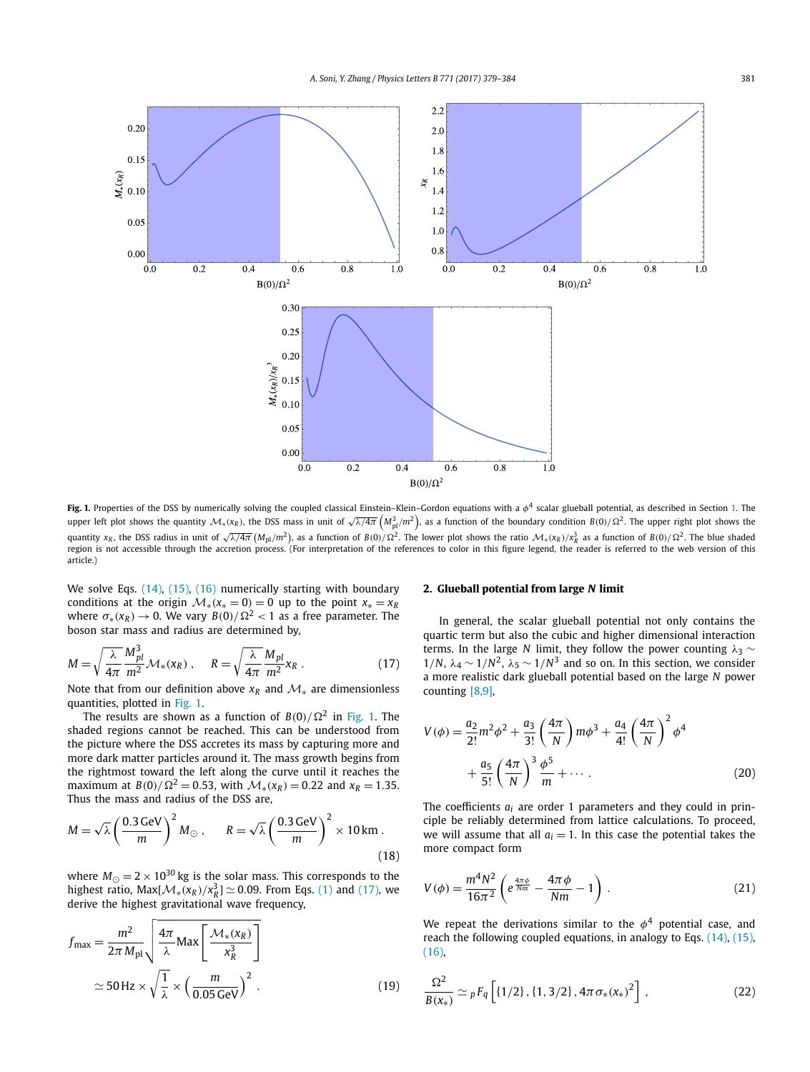<span id="page-2-0"></span>

**Fig. 1.** Properties of the DSS by numerically solving the coupled classical Einstein–Klein–Gordon equations with a *φ*<sup>4</sup> scalar glueball potential, as described in Section [1.](#page-1-0) The upper left plot shows the quantity  $M_*(x_R)$ , the DSS mass in unit of  $\sqrt{\lambda/4\pi} \left(M_{\rm pl}^3/m^2\right)$ , as a function of the boundary condition  $B(0)/\Omega^2$ . The upper right plot shows the quantity  $x_R$ , the DSS radius in unit of  $\sqrt{\lambda/4\pi} (M_{\text{pl}}/m^2)$ , as a function of  $B(0)/\Omega^2$ . The lower plot shows the ratio  $\mathcal{M}_*(x_R)/x_R^3$  as a function of  $B(0)/\Omega^2$ . The blue shaded region is not accessible through the accretion process. (For interpretation of the references to color in this figure legend, the reader is referred to the web version of this article.)

We solve Eqs. [\(14\),](#page-1-0) [\(15\),](#page-1-0) [\(16\)](#page-1-0) numerically starting with boundary conditions at the origin  $\mathcal{M}_*(x_*=0) = 0$  up to the point  $x_* = x_R$ where  $\sigma_*(x_R) \to 0$ . We vary  $B(0)/\Omega^2 < 1$  as a free parameter. The boson star mass and radius are determined by,

$$
M = \sqrt{\frac{\lambda}{4\pi}} \frac{M_{pl}^3}{m^2} \mathcal{M}_*(x_R) , \quad R = \sqrt{\frac{\lambda}{4\pi}} \frac{M_{pl}}{m^2} x_R .
$$
 (17)

Note that from our definition above *x<sub>R</sub>* and  $M_*$  are dimensionless quantities, plotted in Fig. 1.

The results are shown as a function of  $B(0)/\Omega^2$  in Fig. 1. The shaded regions cannot be reached. This can be understood from the picture where the DSS accretes its mass by capturing more and more dark matter particles around it. The mass growth begins from the rightmost toward the left along the curve until it reaches the maximum at *B*(0)/ $\Omega^2 = 0.53$ , with  $\mathcal{M}_*(x_R) = 0.22$  and  $x_R = 1.35$ . Thus the mass and radius of the DSS are,

$$
M = \sqrt{\lambda} \left(\frac{0.3 \text{ GeV}}{m}\right)^2 M_{\odot}, \qquad R = \sqrt{\lambda} \left(\frac{0.3 \text{ GeV}}{m}\right)^2 \times 10 \text{ km}.
$$
\n(18)

where  $M_{\odot} = 2 \times 10^{30}$  kg is the solar mass. This corresponds to the highest ratio,  $Max[\mathcal{M}_{*}(x_R)/x_R^3] \simeq 0.09$ . From Eqs. [\(1\)](#page-0-0) and (17), we derive the highest gravitational wave frequency,

$$
f_{\text{max}} = \frac{m^2}{2\pi M_{\text{pl}}} \sqrt{\frac{4\pi}{\lambda} \text{Max}\left[\frac{\mathcal{M}_*(x_R)}{x_R^3}\right]}
$$
  
 
$$
\approx 50 \text{ Hz} \times \sqrt{\frac{1}{\lambda}} \times \left(\frac{m}{0.05 \text{ GeV}}\right)^2.
$$
 (19)

### **2. Glueball potential from large** *N* **limit**

In general, the scalar glueball potential not only contains the quartic term but also the cubic and higher dimensional interaction terms. In the large *N* limit, they follow the power counting  $λ_3$  ∼ 1/*N*,  $λ_4$  ∼ 1/*N*<sup>2</sup>,  $λ_5$  ∼ 1/*N*<sup>3</sup> and so on. In this section, we consider a more realistic dark glueball potential based on the large *N* power counting [\[8,9\],](#page-5-0)

$$
V(\phi) = \frac{a_2}{2!}m^2\phi^2 + \frac{a_3}{3!} \left(\frac{4\pi}{N}\right) m\phi^3 + \frac{a_4}{4!} \left(\frac{4\pi}{N}\right)^2 \phi^4 + \frac{a_5}{5!} \left(\frac{4\pi}{N}\right)^3 \frac{\phi^5}{m} + \cdots
$$
 (20)

The coefficients  $a_i$  are order 1 parameters and they could in principle be reliably determined from lattice calculations. To proceed, we will assume that all  $a_i = 1$ . In this case the potential takes the more compact form

$$
V(\phi) = \frac{m^4 N^2}{16\pi^2} \left( e^{\frac{4\pi\phi}{Nm}} - \frac{4\pi\phi}{Nm} - 1 \right) . \tag{21}
$$

We repeat the derivations similar to the  $\phi^4$  potential case, and reach the following coupled equations, in analogy to Eqs. [\(14\),](#page-1-0) [\(15\),](#page-1-0) [\(16\),](#page-1-0)

$$
\frac{\Omega^2}{B(x_*)} \simeq {}_pF_q \left[ \{1/2\}, \{1, 3/2\}, 4\pi \sigma_*(x_*)^2 \right],
$$
 (22)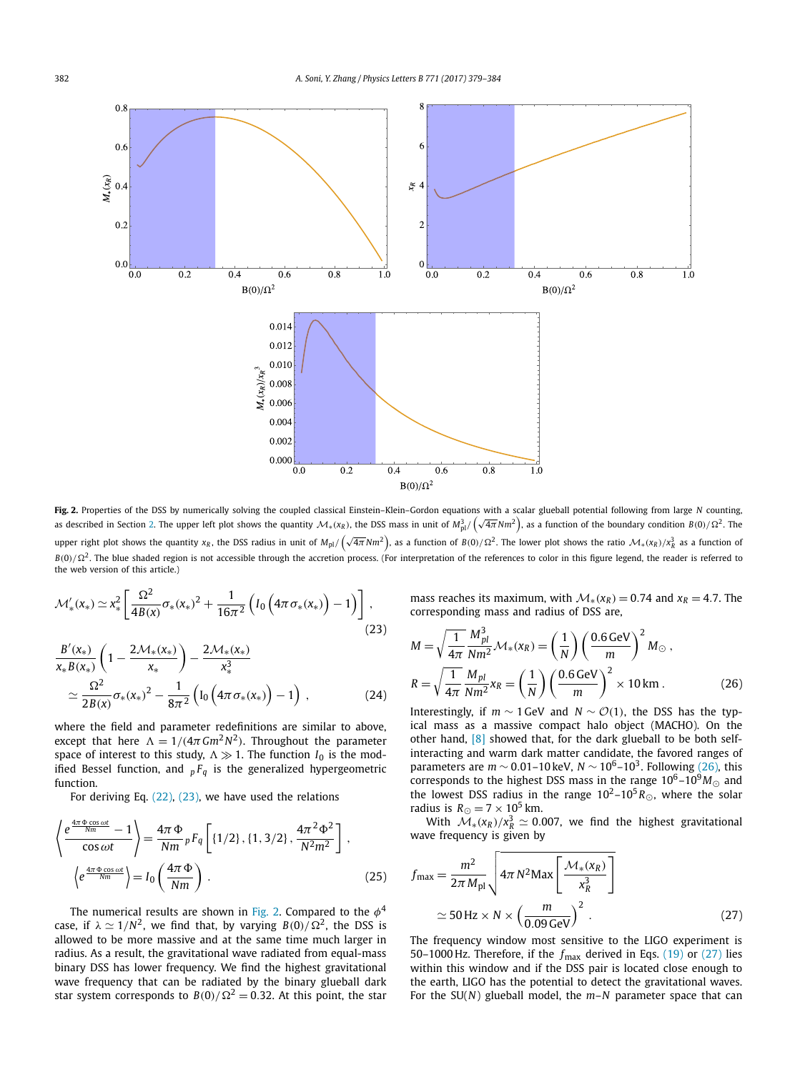

**Fig. 2.** Properties of the DSS by numerically solving the coupled classical Einstein–Klein–Gordon equations with a scalar glueball potential following from large *N* counting, as described in Section [2.](#page-2-0) The upper left plot shows the quantity  $\mathcal{M}_*(x_R)$ , the DSS mass in unit of  $M_{pl}^3/(\sqrt{4\pi}Nm^2)$ , as a function of the boundary condition  $B(0)/\Omega^2$ . The upper right plot shows the quantity  $x_R$ , the DSS radius in unit of  $M_{pl}/(\sqrt{4\pi}Nm^2)$ , as a function of  $B(0)/\Omega^2$ . The lower plot shows the ratio  $\mathcal{M}_{*}(x_R)/x_R^3$  as a function of  $B(0)/\Omega^2$ . The blue shaded region is not accessible through the accretion process. (For interpretation of the references to color in this figure legend, the reader is referred to the web version of this article.)

$$
\mathcal{M}'_{*}(x_{*}) \simeq x_{*}^{2} \left[ \frac{\Omega^{2}}{4B(x)} \sigma_{*}(x_{*})^{2} + \frac{1}{16\pi^{2}} \left( I_{0} \left( 4\pi \sigma_{*}(x_{*}) \right) - 1 \right) \right], \tag{23}
$$

$$
\frac{B'(x_*)}{x_* B(x_*)} \left(1 - \frac{2\mathcal{M}_*(x_*)}{x_*}\right) - \frac{2\mathcal{M}_*(x_*)}{x_*^3} \sim \frac{\Omega^2}{2B(x)} \sigma_*(x_*)^2 - \frac{1}{8\pi^2} \left( I_0 \left(4\pi \sigma_*(x_*)\right) - 1 \right) ,
$$
\n(24)

where the field and parameter redefinitions are similar to above, except that here  $\Lambda = 1/(4\pi Gm^2N^2)$ . Throughout the parameter space of interest to this study,  $\Lambda \gg 1$ . The function *I*<sub>0</sub> is the modified Bessel function, and  $pF_q$  is the generalized hypergeometric function.

For deriving Eq.  $(22)$ ,  $(23)$ , we have used the relations

$$
\left\langle \frac{e^{\frac{4\pi\Phi\cos\omega t}{Nm}}-1}{\cos\omega t}\right\rangle = \frac{4\pi\Phi}{Nm}{}_{p}F_{q}\left[\left\{1/2\right\},\left\{1,3/2\right\},\frac{4\pi^{2}\Phi^{2}}{N^{2}m^{2}}\right],
$$
\n
$$
\left\langle e^{\frac{4\pi\Phi\cos\omega t}{Nm}}\right\rangle = I_{0}\left(\frac{4\pi\Phi}{Nm}\right).
$$
\n(25)

The numerical results are shown in Fig. 2. Compared to the *φ*<sup>4</sup> case, if  $\lambda \simeq 1/N^2$ , we find that, by varying  $B(0)/\Omega^2$ , the DSS is allowed to be more massive and at the same time much larger in radius. As a result, the gravitational wave radiated from equal-mass binary DSS has lower frequency. We find the highest gravitational wave frequency that can be radiated by the binary glueball dark star system corresponds to  $B(0)/\Omega^2 = 0.32$ . At this point, the star

mass reaches its maximum, with  $\mathcal{M}_*(x_R) = 0.74$  and  $x_R = 4.7$ . The corresponding mass and radius of DSS are,

$$
M = \sqrt{\frac{1}{4\pi}} \frac{M_{pl}^3}{N m^2} \mathcal{M}_*(x_R) = \left(\frac{1}{N}\right) \left(\frac{0.6 \,\text{GeV}}{m}\right)^2 M_\odot,
$$
  

$$
R = \sqrt{\frac{1}{4\pi}} \frac{M_{pl}}{N m^2} x_R = \left(\frac{1}{N}\right) \left(\frac{0.6 \,\text{GeV}}{m}\right)^2 \times 10 \,\text{km}.
$$
 (26)

Interestingly, if  $m \sim 1$  GeV and  $N \sim \mathcal{O}(1)$ , the DSS has the typical mass as a massive compact halo object (MACHO). On the other hand, [\[8\]](#page-5-0) showed that, for the dark glueball to be both selfinteracting and warm dark matter candidate, the favored ranges of parameters are  $m \sim 0.01$ –10 keV,  $N \sim 10^6$ –10<sup>3</sup>. Following (26), this corresponds to the highest DSS mass in the range  $10^6$ – $10^9$ *M* $_{\odot}$  and the lowest DSS radius in the range  $10^2$ – $10^5R_{\odot}$ , where the solar radius is  $R_{\odot} = 7 \times 10^5$  km.

With  $\mathcal{M}_{*}(x_R)/x_R^3 \simeq 0.007$ , we find the highest gravitational wave frequency is given by

$$
f_{\text{max}} = \frac{m^2}{2\pi M_{\text{pl}}} \sqrt{4\pi N^2 \text{Max} \left[ \frac{\mathcal{M}_*(x_R)}{x_R^3} \right]}
$$
  
 
$$
\simeq 50 \text{ Hz} \times N \times \left( \frac{m}{0.09 \text{ GeV}} \right)^2.
$$
 (27)

The frequency window most sensitive to the LIGO experiment is 50–1000 Hz. Therefore, if the  $f_{\text{max}}$  derived in Eqs. [\(19\)](#page-2-0) or (27) lies within this window and if the DSS pair is located close enough to the earth, LIGO has the potential to detect the gravitational waves. For the SU(*N*) glueball model, the *m*–*N* parameter space that can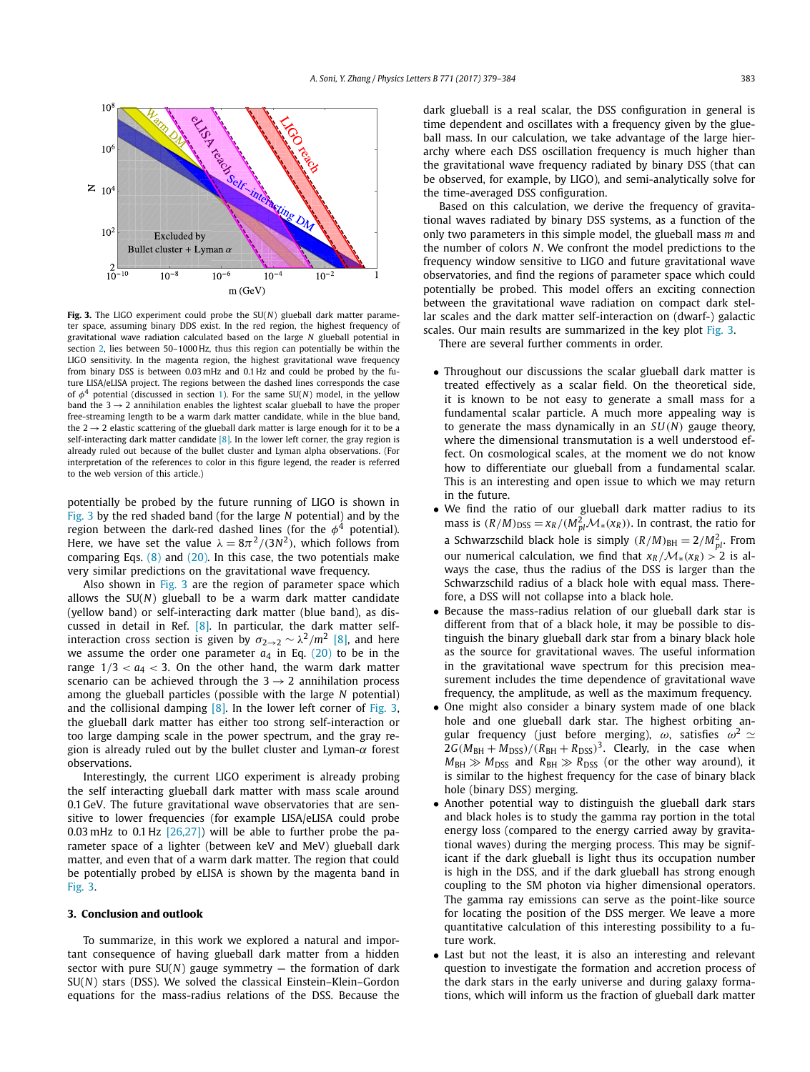

**Fig. 3.** The LIGO experiment could probe the SU(*N*) glueball dark matter parameter space, assuming binary DDS exist. In the red region, the highest frequency of gravitational wave radiation calculated based on the large *N* glueball potential in section [2,](#page-2-0) lies between 50–1000 Hz, thus this region can potentially be within the LIGO sensitivity. In the magenta region, the highest gravitational wave frequency from binary DSS is between 0.03mHz and 0.1 Hz and could be probed by the future LISA/eLISA project. The regions between the dashed lines corresponds the case of *φ*<sup>4</sup> potential (discussed in section [1\)](#page-1-0). For the same SU(*N*) model, in the yellow band the  $3 \rightarrow 2$  annihilation enables the lightest scalar glueball to have the proper free-streaming length to be a warm dark matter candidate, while in the blue band, the  $2 \rightarrow 2$  elastic scattering of the glueball dark matter is large enough for it to be a self-interacting dark matter candidate  $[8]$ . In the lower left corner, the gray region is already ruled out because of the bullet cluster and Lyman alpha observations. (For interpretation of the references to color in this figure legend, the reader is referred to the web version of this article.)

potentially be probed by the future running of LIGO is shown in Fig. 3 by the red shaded band (for the large *N* potential) and by the region between the dark-red dashed lines (for the  $\phi^4$  potential). Here, we have set the value  $\lambda = 8\pi^2/(3N^2)$ , which follows from comparing Eqs.  $(8)$  and  $(20)$ . In this case, the two potentials make very similar predictions on the gravitational wave frequency.

Also shown in Fig. 3 are the region of parameter space which allows the SU(*N*) glueball to be a warm dark matter candidate (yellow band) or self-interacting dark matter (blue band), as discussed in detail in Ref. [\[8\].](#page-5-0) In particular, the dark matter selfinteraction cross section is given by  $\sigma_{2\to 2} \sim \lambda^2/m^2$  [\[8\],](#page-5-0) and here we assume the order one parameter  $a_4$  in Eq. [\(20\)](#page-2-0) to be in the range  $1/3 < a_4 < 3$ . On the other hand, the warm dark matter scenario can be achieved through the  $3 \rightarrow 2$  annihilation process among the glueball particles (possible with the large *N* potential) and the collisional damping  $[8]$ . In the lower left corner of Fig. 3, the glueball dark matter has either too strong self-interaction or too large damping scale in the power spectrum, and the gray region is already ruled out by the bullet cluster and Lyman-*α* forest observations.

Interestingly, the current LIGO experiment is already probing the self interacting glueball dark matter with mass scale around 0.1 GeV. The future gravitational wave observatories that are sensitive to lower frequencies (for example LISA/eLISA could probe 0.03 mHz to 0.1 Hz  $[26,27]$  will be able to further probe the parameter space of a lighter (between keV and MeV) glueball dark matter, and even that of a warm dark matter. The region that could be potentially probed by eLISA is shown by the magenta band in Fig. 3.

# **3. Conclusion and outlook**

To summarize, in this work we explored a natural and important consequence of having glueball dark matter from a hidden sector with pure  $SU(N)$  gauge symmetry  $-$  the formation of dark SU(*N*) stars (DSS). We solved the classical Einstein–Klein–Gordon equations for the mass-radius relations of the DSS. Because the dark glueball is a real scalar, the DSS configuration in general is time dependent and oscillates with a frequency given by the glueball mass. In our calculation, we take advantage of the large hierarchy where each DSS oscillation frequency is much higher than the gravitational wave frequency radiated by binary DSS (that can be observed, for example, by LIGO), and semi-analytically solve for the time-averaged DSS configuration.

Based on this calculation, we derive the frequency of gravitational waves radiated by binary DSS systems, as a function of the only two parameters in this simple model, the glueball mass *m* and the number of colors *N*. We confront the model predictions to the frequency window sensitive to LIGO and future gravitational wave observatories, and find the regions of parameter space which could potentially be probed. This model offers an exciting connection between the gravitational wave radiation on compact dark stellar scales and the dark matter self-interaction on (dwarf-) galactic scales. Our main results are summarized in the key plot Fig. 3.

There are several further comments in order.

- Throughout our discussions the scalar glueball dark matter is treated effectively as a scalar field. On the theoretical side, it is known to be not easy to generate a small mass for a fundamental scalar particle. A much more appealing way is to generate the mass dynamically in an *SU(N)* gauge theory, where the dimensional transmutation is a well understood effect. On cosmological scales, at the moment we do not know how to differentiate our glueball from a fundamental scalar. This is an interesting and open issue to which we may return in the future.
- We find the ratio of our glueball dark matter radius to its mass is  $(R/M)_{\text{DSS}} = x_R / (M_{pl}^2 \mathcal{M}_*(x_R))$ . In contrast, the ratio for a Schwarzschild black hole is simply  $(R/M)_{BH} = 2/M_{pl}^2$ . From our numerical calculation, we find that  $x_R/M_*(x_R) > 2$  is always the case, thus the radius of the DSS is larger than the Schwarzschild radius of a black hole with equal mass. Therefore, a DSS will not collapse into a black hole.
- Because the mass-radius relation of our glueball dark star is different from that of a black hole, it may be possible to distinguish the binary glueball dark star from a binary black hole as the source for gravitational waves. The useful information in the gravitational wave spectrum for this precision measurement includes the time dependence of gravitational wave frequency, the amplitude, as well as the maximum frequency.
- One might also consider a binary system made of one black hole and one glueball dark star. The highest orbiting angular frequency (just before merging), *ω*, satisfies *ω*<sup>2</sup>  $2G(M_{BH} + M_{DSS})/(R_{BH} + R_{DSS})^3$ . Clearly, in the case when  $M_{BH} \gg M_{DSS}$  and  $R_{BH} \gg R_{DSS}$  (or the other way around), it is similar to the highest frequency for the case of binary black hole (binary DSS) merging.
- Another potential way to distinguish the glueball dark stars and black holes is to study the gamma ray portion in the total energy loss (compared to the energy carried away by gravitational waves) during the merging process. This may be significant if the dark glueball is light thus its occupation number is high in the DSS, and if the dark glueball has strong enough coupling to the SM photon via higher dimensional operators. The gamma ray emissions can serve as the point-like source for locating the position of the DSS merger. We leave a more quantitative calculation of this interesting possibility to a future work.
- Last but not the least, it is also an interesting and relevant question to investigate the formation and accretion process of the dark stars in the early universe and during galaxy formations, which will inform us the fraction of glueball dark matter